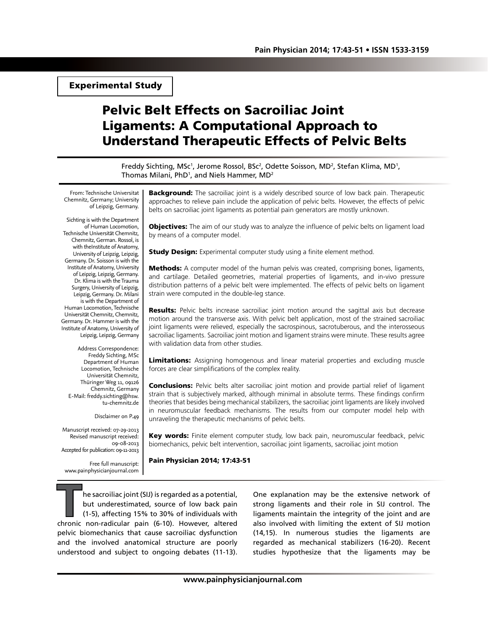Experimental Study

# Pelvic Belt Effects on Sacroiliac Joint Ligaments: A Computational Approach to Understand Therapeutic Effects of Pelvic Belts

Freddy Sichting, MSc<sup>1</sup>, Jerome Rossol, BSc<sup>2</sup>, Odette Soisson, MD<sup>2</sup>, Stefan Klima, MD<sup>1</sup>, Thomas Milani, PhD<sup>1</sup>, and Niels Hammer, MD<sup>2</sup>

From: Technische Universitat Chemnitz, Germany; University of Leipzig, Germany.

Sichting is with the Department of Human Locomotion, Technische Universität Chemnitz, Chemnitz, German. Rossol, is with theInstitute of Anatomy, University of Leipzig, Leipzig, Germany. Dr. Soisson is with the Institute of Anatomy, University of Leipzig, Leipzig, Germany. Dr. Klima is with the Trauma Surgery, University of Leipzig, Leipzig, Germany. Dr. Milani is with the Department of Human Locomotion, Technische Universität Chemnitz, Chemnitz, Germany. Dr. Hammer is with the Institute of Anatomy, University of Leipzig, Leipzig, Germany

Address Correspondence: Freddy Sichting, MSc Department of Human Locomotion, Technische Universität Chemnitz, Thüringer Weg 11, 09126 Chemnitz, Germany E-Mail: freddy.sichting@hsw. tu-chemnitz.de

Disclaimer on P.49

Manuscript received: 07-29-2013 Revised manuscript received: 09-08-2013 Accepted for publication: 09-11-2013

Free full manuscript: www.painphysicianjournal.com **Background:** The sacroiliac joint is a widely described source of low back pain. Therapeutic approaches to relieve pain include the application of pelvic belts. However, the effects of pelvic belts on sacroiliac joint ligaments as potential pain generators are mostly unknown.

**Objectives:** The aim of our study was to analyze the influence of pelvic belts on ligament load by means of a computer model.

**Study Design:** Experimental computer study using a finite element method.

**Methods:** A computer model of the human pelvis was created, comprising bones, ligaments, and cartilage. Detailed geometries, material properties of ligaments, and in-vivo pressure distribution patterns of a pelvic belt were implemented. The effects of pelvic belts on ligament strain were computed in the double-leg stance.

Results: Pelvic belts increase sacroiliac joint motion around the sagittal axis but decrease motion around the transverse axis. With pelvic belt application, most of the strained sacroiliac joint ligaments were relieved, especially the sacrospinous, sacrotuberous, and the interosseous sacroiliac ligaments. Sacroiliac joint motion and ligament strains were minute. These results agree with validation data from other studies.

Limitations: Assigning homogenous and linear material properties and excluding muscle forces are clear simplifications of the complex reality.

**Conclusions:** Pelvic belts alter sacroiliac joint motion and provide partial relief of ligament strain that is subjectively marked, although minimal in absolute terms. These findings confirm theories that besides being mechanical stabilizers, the sacroiliac joint ligaments are likely involved in neuromuscular feedback mechanisms. The results from our computer model help with unraveling the therapeutic mechanisms of pelvic belts.

Key words: Finite element computer study, low back pain, neuromuscular feedback, pelvic biomechanics, pelvic belt intervention, sacroiliac joint ligaments, sacroiliac joint motion

Pain Physician 2014; 17:43-51

**The sacroiliac joint (SIJ) is regarded as a potential,<br>but underestimated, source of low back pain<br>(1-5), affecting 15% to 30% of individuals with<br>chronic non-radicular pain (6-10). However, altered** but underestimated, source of low back pain (1-5), affecting 15% to 30% of individuals with chronic non-radicular pain (6-10). However, altered pelvic biomechanics that cause sacroiliac dysfunction and the involved anatomical structure are poorly understood and subject to ongoing debates (11-13).

One explanation may be the extensive network of strong ligaments and their role in SIJ control. The ligaments maintain the integrity of the joint and are also involved with limiting the extent of SIJ motion (14,15). In numerous studies the ligaments are regarded as mechanical stabilizers (16-20). Recent studies hypothesize that the ligaments may be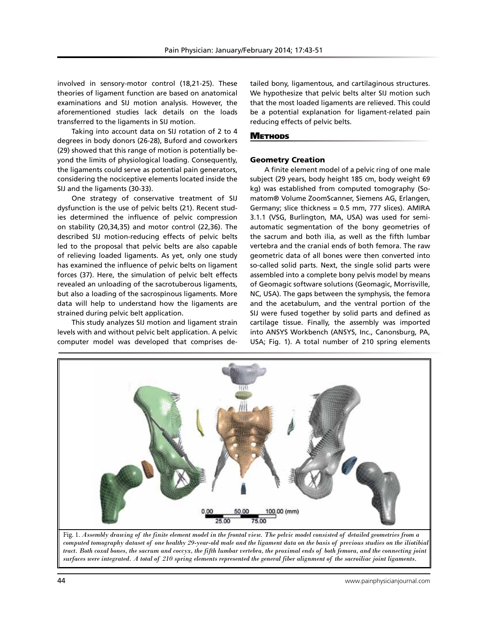involved in sensory-motor control (18,21-25). These theories of ligament function are based on anatomical examinations and SIJ motion analysis. However, the aforementioned studies lack details on the loads transferred to the ligaments in SIJ motion.

Taking into account data on SIJ rotation of 2 to 4 degrees in body donors (26-28), Buford and coworkers (29) showed that this range of motion is potentially beyond the limits of physiological loading. Consequently, the ligaments could serve as potential pain generators, considering the nociceptive elements located inside the SIJ and the ligaments (30-33).

One strategy of conservative treatment of SIJ dysfunction is the use of pelvic belts (21). Recent studies determined the influence of pelvic compression on stability (20,34,35) and motor control (22,36). The described SIJ motion-reducing effects of pelvic belts led to the proposal that pelvic belts are also capable of relieving loaded ligaments. As yet, only one study has examined the influence of pelvic belts on ligament forces (37). Here, the simulation of pelvic belt effects revealed an unloading of the sacrotuberous ligaments, but also a loading of the sacrospinous ligaments. More data will help to understand how the ligaments are strained during pelvic belt application.

This study analyzes SIJ motion and ligament strain levels with and without pelvic belt application. A pelvic computer model was developed that comprises detailed bony, ligamentous, and cartilaginous structures. We hypothesize that pelvic belts alter SIJ motion such that the most loaded ligaments are relieved. This could be a potential explanation for ligament-related pain reducing effects of pelvic belts.

## **METHODS**

#### Geometry Creation

A finite element model of a pelvic ring of one male subject (29 years, body height 185 cm, body weight 69 kg) was established from computed tomography (Somatom® Volume ZoomScanner, Siemens AG, Erlangen, Germany; slice thickness = 0.5 mm, 777 slices). AMIRA 3.1.1 (VSG, Burlington, MA, USA) was used for semiautomatic segmentation of the bony geometries of the sacrum and both ilia, as well as the fifth lumbar vertebra and the cranial ends of both femora. The raw geometric data of all bones were then converted into so-called solid parts. Next, the single solid parts were assembled into a complete bony pelvis model by means of Geomagic software solutions (Geomagic, Morrisville, NC, USA). The gaps between the symphysis, the femora and the acetabulum, and the ventral portion of the SIJ were fused together by solid parts and defined as cartilage tissue. Finally, the assembly was imported into ANSYS Workbench (ANSYS, Inc., Canonsburg, PA, USA; Fig. 1). A total number of 210 spring elements



Fig. 1. *Assembly drawing of the finite element model in the frontal view. The pelvic model consisted of detailed geometries from a computed tomography dataset of one healthy 29-year-old male and the ligament data on the basis of previous studies on the iliotibial tract. Both coxal bones, the sacrum and coccyx, the fifth lumbar vertebra, the proximal ends of both femora, and the connecting joint surfaces were integrated. A total of 210 spring elements represented the general fiber alignment of the sacroiliac joint ligaments.*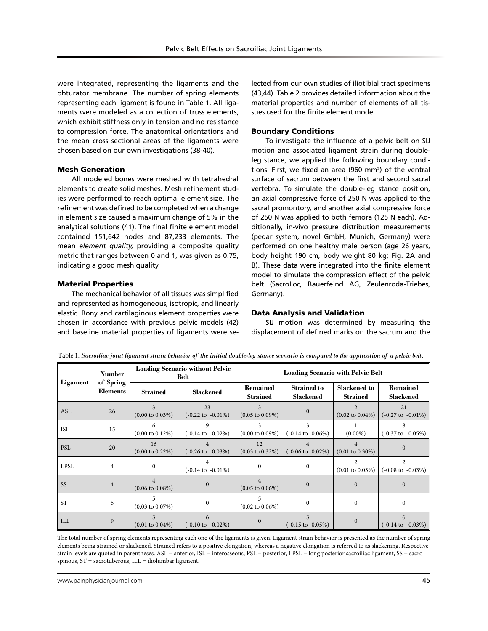were integrated, representing the ligaments and the obturator membrane. The number of spring elements representing each ligament is found in Table 1. All ligaments were modeled as a collection of truss elements, which exhibit stiffness only in tension and no resistance to compression force. The anatomical orientations and the mean cross sectional areas of the ligaments were chosen based on our own investigations (38-40).

#### Mesh Generation

All modeled bones were meshed with tetrahedral elements to create solid meshes. Mesh refinement studies were performed to reach optimal element size. The refinement was defined to be completed when a change in element size caused a maximum change of 5% in the analytical solutions (41). The final finite element model contained 151,642 nodes and 87,233 elements. The mean *element quality,* providing a composite quality metric that ranges between 0 and 1, was given as 0.75, indicating a good mesh quality.

## Material Properties

The mechanical behavior of all tissues was simplified and represented as homogeneous, isotropic, and linearly elastic. Bony and cartilaginous element properties were chosen in accordance with previous pelvic models (42) and baseline material properties of ligaments were se-

lected from our own studies of iliotibial tract specimens (43,44). Table 2 provides detailed information about the material properties and number of elements of all tissues used for the finite element model.

#### Boundary Conditions

To investigate the influence of a pelvic belt on SIJ motion and associated ligament strain during doubleleg stance, we applied the following boundary conditions: First, we fixed an area (960 mm²) of the ventral surface of sacrum between the first and second sacral vertebra. To simulate the double-leg stance position, an axial compressive force of 250 N was applied to the sacral promontory, and another axial compressive force of 250 N was applied to both femora (125 N each). Additionally, in-vivo pressure distribution measurements (pedar system, novel GmbH, Munich, Germany) were performed on one healthy male person (age 26 years, body height 190 cm, body weight 80 kg; Fig. 2A and B). These data were integrated into the finite element model to simulate the compression effect of the pelvic belt (SacroLoc, Bauerfeind AG, Zeulenroda-Triebes, Germany).

## Data Analysis and Validation

SIJ motion was determined by measuring the displacement of defined marks on the sacrum and the

| Ligament        | <b>Number</b><br>of Spring<br><b>Elements</b> | <b>Loading Scenario without Pelvic</b><br>Belt |                                     | <b>Loading Scenario with Pelvic Belt</b>      |                                        |                                               |                                                 |
|-----------------|-----------------------------------------------|------------------------------------------------|-------------------------------------|-----------------------------------------------|----------------------------------------|-----------------------------------------------|-------------------------------------------------|
|                 |                                               | <b>Strained</b>                                | <b>Slackened</b>                    | <b>Remained</b><br><b>Strained</b>            | <b>Strained to</b><br><b>Slackened</b> | <b>Slackened to</b><br><b>Strained</b>        | <b>Remained</b><br><b>Slackened</b>             |
| $\parallel$ ASL | 26                                            | 3<br>$(0.00 \text{ to } 0.03\%)$               | 23<br>$(-0.22 \text{ to } -0.01\%)$ | $\mathbf{3}$<br>$(0.05 \text{ to } 0.09\%)$   | $\Omega$                               | $\mathfrak{D}$<br>$(0.02 \text{ to } 0.04\%)$ | 21<br>$(-0.27 \text{ to } -0.01\%)$             |
| ISL             | 15                                            | $(0.00 \text{ to } 0.12\%)$                    | 9<br>$(-0.14 \text{ to } -0.02\%)$  | 3<br>$(0.00 \text{ to } 0.09\%)$              | 3<br>$(-0.14 \text{ to } -0.06\%)$     | $(0.00\%)$                                    | $(-0.37 \text{ to } -0.05\%)$                   |
| <b>PSL</b>      | 20                                            | 16<br>$(0.00 \text{ to } 0.22\%)$              | $(-0.26 \text{ to } -0.03\%)$       | 12<br>$(0.03 \text{ to } 0.32\%)$             | $(-0.06 \text{ to } -0.02\%)$          | $(0.01 \text{ to } 0.30\%)$                   | $\Omega$                                        |
| LPSL            | $\overline{4}$                                | $\Omega$                                       | $(-0.14 \text{ to } -0.01\%)$       | $\Omega$                                      | $\Omega$                               | $\mathcal{P}$<br>$(0.01 \text{ to } 0.03\%)$  | $\mathfrak{D}$<br>$(-0.08 \text{ to } -0.03\%)$ |
| $\vert$ SS      | $\overline{4}$                                | $\overline{4}$<br>$(0.06 \text{ to } 0.08\%)$  | $\Omega$                            | $\overline{4}$<br>$(0.05 \text{ to } 0.06\%)$ |                                        | $\Omega$                                      | $\Omega$                                        |
| $\vert$ ST      | 5                                             | $(0.03 \text{ to } 0.07\%)$                    |                                     | $(0.02 \text{ to } 0.06\%)$                   | $^{(1)}$                               | $\theta$                                      | $\Omega$                                        |
| $ $ ILL         | 9                                             | $(0.01 \text{ to } 0.04\%)$                    | 6<br>$(-0.10 \text{ to } -0.02\%)$  | $\Omega$                                      | $(-0.15 \text{ to } -0.05\%)$          |                                               | 6<br>$(-0.14 \text{ to } -0.03\%)$              |

Table 1. *Sacroiliac joint ligament strain behavior of the initial double-leg stance scenario is compared to the application of a pelvic belt.* 

The total number of spring elements representing each one of the ligaments is given. Ligament strain behavior is presented as the number of spring elements being strained or slackened. Strained refers to a positive elongation, whereas a negative elongation is referred to as slackening. Respective strain levels are quoted in parentheses. ASL = anterior, ISL = interosseous, PSL = posterior, LPSL = long posterior sacroiliac ligament, SS = sacrospinous, ST = sacrotuberous, ILL = iliolumbar ligament.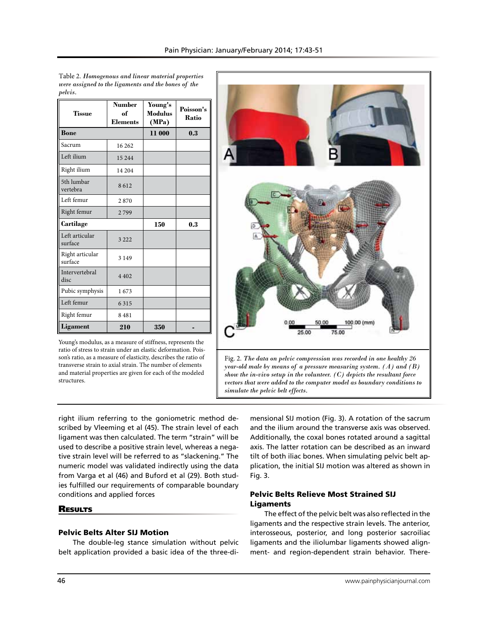| <b>Tissue</b>              | <b>Number</b><br>of<br><b>Elements</b> | Young's<br><b>Modulus</b><br>(MPa) | Poisson's<br>Ratio |  |
|----------------------------|----------------------------------------|------------------------------------|--------------------|--|
| <b>Bone</b>                |                                        | 11 000                             | 0.3                |  |
| Sacrum                     | 16 26 2                                |                                    |                    |  |
| Left ilium                 | 15 2 44                                |                                    |                    |  |
| Right ilium                | 14 204                                 |                                    |                    |  |
| 5th lumbar<br>vertebra     | 8612                                   |                                    |                    |  |
| Left femur                 | 2870                                   |                                    |                    |  |
| Right femur                | 2799                                   |                                    |                    |  |
| Cartilage                  |                                        | 150                                | 0.3                |  |
| Left articular<br>surface  | 3 2 2 2                                |                                    |                    |  |
| Right articular<br>surface | 3 1 4 9                                |                                    |                    |  |
| Intervertebral<br>disc     | 4 4 0 2                                |                                    |                    |  |
| Pubic symphysis            | 1673                                   |                                    |                    |  |
| Left femur                 | 6 3 1 5                                |                                    |                    |  |
| Right femur                | 8 4 8 1                                |                                    |                    |  |
| Ligament                   | 210                                    | 350                                |                    |  |

Table 2. *Homogenous and linear material properties were assigned to the ligaments and the bones of the pelvis.* 

Young's modulus, as a measure of stiffness, represents the ratio of stress to strain under an elastic deformation. Poisson's ratio, as a measure of elasticity, describes the ratio of transverse strain to axial strain. The number of elements and material properties are given for each of the modeled structures.

100.00 (mm) 75.00 Fig. 2. *The data on pelvic compression was recorded in one healthy 26 year-old male by means of a pressure measuring system. (A) and (B) show the in-vivo setup in the volunteer. (C) depicts the resultant force vectors that were added to the computer model as boundary conditions to simulate the pelvic belt effects.* 

right ilium referring to the goniometric method described by Vleeming et al (45). The strain level of each ligament was then calculated. The term "strain" will be used to describe a positive strain level, whereas a negative strain level will be referred to as "slackening." The numeric model was validated indirectly using the data from Varga et al (46) and Buford et al (29). Both studies fulfilled our requirements of comparable boundary conditions and applied forces

# **RESULTS**

# Pelvic Belts Alter SIJ Motion

The double-leg stance simulation without pelvic belt application provided a basic idea of the three-di-

mensional SIJ motion (Fig. 3). A rotation of the sacrum and the ilium around the transverse axis was observed. Additionally, the coxal bones rotated around a sagittal axis. The latter rotation can be described as an inward tilt of both iliac bones. When simulating pelvic belt application, the initial SIJ motion was altered as shown in Fig. 3.

# Pelvic Belts Relieve Most Strained SIJ Ligaments

The effect of the pelvic belt was also reflected in the ligaments and the respective strain levels. The anterior, interosseous, posterior, and long posterior sacroiliac ligaments and the iliolumbar ligaments showed alignment- and region-dependent strain behavior. There-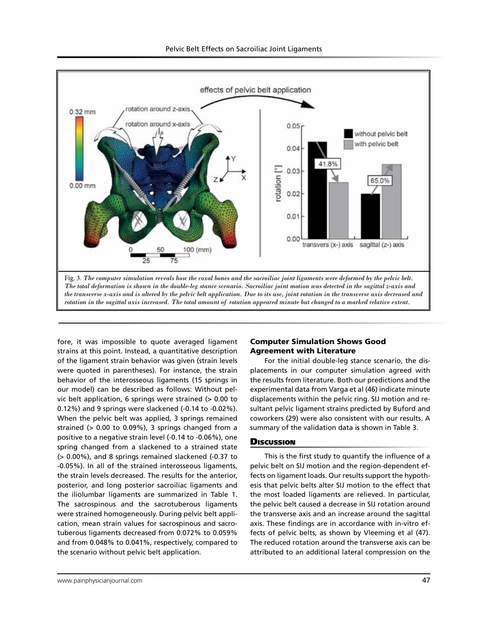

fore, it was impossible to quote averaged ligament strains at this point. Instead, a quantitative description of the ligament strain behavior was given (strain levels were quoted in parentheses). For instance, the strain behavior of the interosseous ligaments (15 springs in our model) can be described as follows: Without pelvic belt application, 6 springs were strained (> 0.00 to 0.12%) and 9 springs were slackened (-0.14 to -0.02%). When the pelvic belt was applied, 3 springs remained strained (> 0.00 to 0.09%), 3 springs changed from a positive to a negative strain level (-0.14 to -0.06%), one spring changed from a slackened to a strained state (> 0.00%), and 8 springs remained slackened (-0.37 to -0.05%). In all of the strained interosseous ligaments, the strain levels decreased. The results for the anterior, posterior, and long posterior sacroiliac ligaments and the iliolumbar ligaments are summarized in Table 1. The sacrospinous and the sacrotuberous ligaments were strained homogeneously. During pelvic belt application, mean strain values for sacrospinous and sacrotuberous ligaments decreased from 0.072% to 0.059% and from 0.048% to 0.041%, respectively, compared to the scenario without pelvic belt application.

## Computer Simulation Shows Good Agreement with Literature

For the initial double-leg stance scenario, the displacements in our computer simulation agreed with the results from literature. Both our predictions and the experimental data from Varga et al (46) indicate minute displacements within the pelvic ring. SIJ motion and resultant pelvic ligament strains predicted by Buford and coworkers (29) were also consistent with our results. A summary of the validation data is shown in Table 3.

## **Discussion**

This is the first study to quantify the influence of a pelvic belt on SIJ motion and the region-dependent effects on ligament loads. Our results support the hypothesis that pelvic belts alter SIJ motion to the effect that the most loaded ligaments are relieved. In particular, the pelvic belt caused a decrease in SIJ rotation around the transverse axis and an increase around the sagittal axis. These findings are in accordance with in-vitro effects of pelvic belts, as shown by Vleeming et al (47). The reduced rotation around the transverse axis can be attributed to an additional lateral compression on the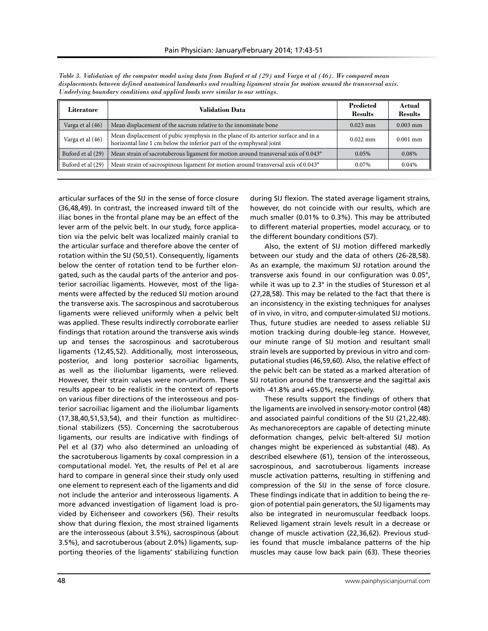| Literature        | Validation Data                                                                                                                                            | <b>Predicted</b><br><b>Results</b> | Actual<br><b>Results</b> |
|-------------------|------------------------------------------------------------------------------------------------------------------------------------------------------------|------------------------------------|--------------------------|
| Varga et al (46)  | Mean displacement of the sacrum relative to the innominate bone                                                                                            | $0.023$ mm                         | $0.003$ mm               |
| Varga et al (46)  | Mean displacement of pubic symphysis in the plane of its anterior surface and in a<br>horizontal line 1 cm below the inferior part of the symphyseal joint | $0.022$ mm                         | $0.001$ mm               |
| Buford et al (29) | Mean strain of sacrotuberous ligament for motion around transversal axis of 0.043°                                                                         | $0.05\%$                           | 0.08%                    |
| Buford et al (29) | Mean strain of sacrospinous ligament for motion around transversal axis of 0.043°                                                                          | 0.07%                              | 0.04%                    |

*Table 3. Validation of the computer model using data from Buford et al (29) and Varga et al (46). We compared mean displacements between defined anatomical landmarks and resulting ligament strain for motion around the transversal axis. Underlying boundary conditions and applied loads were similar to our settings.*

articular surfaces of the SIJ in the sense of force closure (36,48,49). In contrast, the increased inward tilt of the iliac bones in the frontal plane may be an effect of the lever arm of the pelvic belt. In our study, force application via the pelvic belt was localized mainly cranial to the articular surface and therefore above the center of rotation within the SIJ (50,51). Consequently, ligaments below the center of rotation tend to be further elongated, such as the caudal parts of the anterior and posterior sacroiliac ligaments. However, most of the ligaments were affected by the reduced SIJ motion around the transverse axis. The sacrospinous and sacrotuberous ligaments were relieved uniformly when a pelvic belt was applied. These results indirectly corroborate earlier findings that rotation around the transverse axis winds up and tenses the sacrospinous and sacrotuberous ligaments (12,45,52). Additionally, most interosseous, posterior, and long posterior sacroiliac ligaments, as well as the iliolumbar ligaments, were relieved. However, their strain values were non-uniform. These results appear to be realistic in the context of reports on various fiber directions of the interosseous and posterior sacroiliac ligament and the iliolumbar ligaments (17,38,40,51,53,54), and their function as multidirectional stabilizers (55). Concerning the sacrotuberous ligaments, our results are indicative with findings of Pel et al (37) who also determined an unloading of the sacrotuberous ligaments by coxal compression in a computational model. Yet, the results of Pel et al are hard to compare in general since their study only used one element to represent each of the ligaments and did not include the anterior and interosseous ligaments. A more advanced investigation of ligament load is provided by Eichenseer and coworkers (56). Their results show that during flexion, the most strained ligaments are the interosseous (about 3.5%), sacrospinous (about 3.5%), and sacrotuberous (about 2.0%) ligaments, supporting theories of the ligaments' stabilizing function

during SIJ flexion. The stated average ligament strains, however, do not coincide with our results, which are much smaller (0.01% to 0.3%). This may be attributed to different material properties, model accuracy, or to the different boundary conditions (57).

Also, the extent of SIJ motion differed markedly between our study and the data of others (26-28,58). As an example, the maximum SIJ rotation around the transverse axis found in our configuration was 0.05°, while it was up to 2.3° in the studies of Sturesson et al (27,28,58). This may be related to the fact that there is an inconsistency in the existing techniques for analyses of in vivo, in vitro, and computer-simulated SIJ motions. Thus, future studies are needed to assess reliable SIJ motion tracking during double-leg stance. However, our minute range of SIJ motion and resultant small strain levels are supported by previous in vitro and computational studies (46,59,60). Also, the relative effect of the pelvic belt can be stated as a marked alteration of SIJ rotation around the transverse and the sagittal axis with -41.8% and +65.0%, respectively.

These results support the findings of others that the ligaments are involved in sensory-motor control (48) and associated painful conditions of the SIJ (21,22,48). As mechanoreceptors are capable of detecting minute deformation changes, pelvic belt-altered SIJ motion changes might be experienced as substantial (48). As described elsewhere (61), tension of the interosseous, sacrospinous, and sacrotuberous ligaments increase muscle activation patterns, resulting in stiffening and compression of the SIJ in the sense of force closure. These findings indicate that in addition to being the region of potential pain generators, the SIJ ligaments may also be integrated in neuromuscular feedback loops. Relieved ligament strain levels result in a decrease or change of muscle activation (22,36,62). Previous studies found that muscle imbalance patterns of the hip muscles may cause low back pain (63). These theories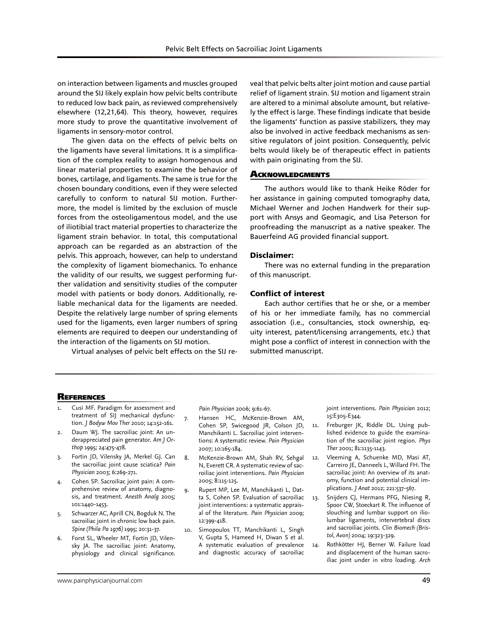on interaction between ligaments and muscles grouped around the SIJ likely explain how pelvic belts contribute to reduced low back pain, as reviewed comprehensively elsewhere (12,21,64). This theory, however, requires more study to prove the quantitative involvement of ligaments in sensory-motor control.

The given data on the effects of pelvic belts on the ligaments have several limitations. It is a simplification of the complex reality to assign homogenous and linear material properties to examine the behavior of bones, cartilage, and ligaments. The same is true for the chosen boundary conditions, even if they were selected carefully to conform to natural SIJ motion. Furthermore, the model is limited by the exclusion of muscle forces from the osteoligamentous model, and the use of iliotibial tract material properties to characterize the ligament strain behavior. In total, this computational approach can be regarded as an abstraction of the pelvis. This approach, however, can help to understand the complexity of ligament biomechanics. To enhance the validity of our results, we suggest performing further validation and sensitivity studies of the computer model with patients or body donors. Additionally, reliable mechanical data for the ligaments are needed. Despite the relatively large number of spring elements used for the ligaments, even larger numbers of spring elements are required to deepen our understanding of the interaction of the ligaments on SIJ motion.

Virtual analyses of pelvic belt effects on the SIJ re-

veal that pelvic belts alter joint motion and cause partial relief of ligament strain. SIJ motion and ligament strain are altered to a minimal absolute amount, but relatively the effect is large. These findings indicate that beside the ligaments' function as passive stabilizers, they may also be involved in active feedback mechanisms as sensitive regulators of joint position. Consequently, pelvic belts would likely be of therapeutic effect in patients with pain originating from the SIJ.

## **ACKNOWLEDGMENTS**

The authors would like to thank Heike Röder for her assistance in gaining computed tomography data, Michael Werner and Jochen Handwerk for their support with Ansys and Geomagic, and Lisa Peterson for proofreading the manuscript as a native speaker. The Bauerfeind AG provided financial support.

## Disclaimer:

There was no external funding in the preparation of this manuscript.

# Conflict of interest

Each author certifies that he or she, or a member of his or her immediate family, has no commercial association (i.e., consultancies, stock ownership, equity interest, patent/licensing arrangements, etc.) that might pose a conflict of interest in connection with the submitted manuscript.

## **REFERENCES**

- Cusi MF. Paradigm for assessment and treatment of SIJ mechanical dysfunction. *J Bodyw Mov Ther* 2010; 14:152-161.
- 2. Daum WJ. The sacroiliac joint: An underappreciated pain generator. *Am J Orthop* 1995; 24:475-478.
- 3. Fortin JD, Vilensky JA, Merkel GJ. Can the sacroiliac joint cause sciatica? *Pain Physician* 2003; 6:269-271.
- 4. Cohen SP. Sacroiliac joint pain: A comprehensive review of anatomy, diagnosis, and treatment. *Anesth Analg* 2005; 101:1440-1453.
- 5. Schwarzer AC, Aprill CN, Bogduk N. The sacroiliac joint in chronic low back pain. *Spine (Phila Pa 1976)* 1995; 20:31-37.
- 6. Forst SL, Wheeler MT, Fortin JD, Vilensky JA. The sacroiliac joint: Anatomy, physiology and clinical significance.

*Pain Physician* 2006; 9:61-67.

- 7. Hansen HC, McKenzie-Brown AM, Cohen SP, Swicegood JR, Colson JD, Manchikanti L. Sacroiliac joint interventions: A systematic review. *Pain Physician* 2007; 10:165-184.
- 8. McKenzie-Brown AM, Shah RV, Sehgal N, Everett CR. A systematic review of sacroiliac joint interventions. *Pain Physician* 2005; 8:115-125.
- 9. Rupert MP, Lee M, Manchikanti L, Datta S, Cohen SP. Evaluation of sacroiliac joint interventions: a systematic appraisal of the literature. *Pain Physician* 2009; 12:399-418.
- 10. Simopoulos TT, Manchikanti L, Singh V, Gupta S, Hameed H, Diwan S et al. A systematic evaluation of prevalence and diagnostic accuracy of sacroiliac

joint interventions. *Pain Physician* 2012; 15:E305-E344.

- 11. Freburger JK, Riddle DL. Using published evidence to guide the examination of the sacroiliac joint region. *Phys Ther* 2001; 81:1135-1143.
- 12. Vleeming A, Schuenke MD, Masi AT, Carreiro JE, Danneels L, Willard FH. The sacroiliac joint: An overview of its anatomy, function and potential clinical implications. *J Anat* 2012; 221:537-567.
- 13. Snijders CJ, Hermans PFG, Niesing R, Spoor CW, Stoeckart R. The influence of slouching and lumbar support on iliolumbar ligaments, intervertebral discs and sacroiliac joints. *Clin Biomech (Bristol, Avon)* 2004; 19:323-329.
- 14. Rothkötter HJ, Berner W. Failure load and displacement of the human sacroiliac joint under in vitro loading. *Arch*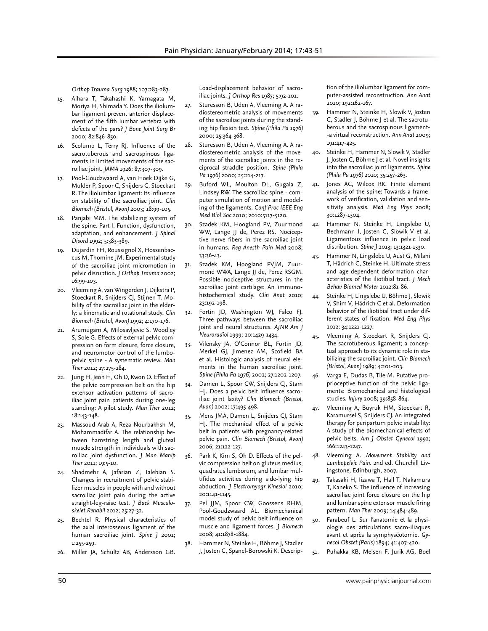*Orthop Trauma Surg* 1988; 107:283-287.

- Aihara T, Takahashi K, Yamagata M, Moriya H, Shimada Y. Does the iliolumbar ligament prevent anterior displacement of the fifth lumbar vertebra with defects of the pars? *J Bone Joint Surg Br* 2000; 82:846-850.
- 16. Scolumb L, Terry RJ. Influence of the sacrotuberous and sacrospinous ligaments in limited movements of the sacroiliac joint. *JAMA* 1926; 87:307-309.
- 17. Pool-Goudzwaard A, van Hoek Dijke G, Mulder P, Spoor C, Snijders C, Stoeckart R. The iliolumbar ligament: Its influence on stability of the sacroiliac joint. *Clin Biomech (Bristol, Avon)* 2003; 18:99-105.
- 18. Panjabi MM. The stabilizing system of the spine. Part I. Function, dysfunction, adaptation, and enhancement. *J Spinal Disord* 1992; 5:383-389.
- 19. Dujardin FH, Roussignol X, Hossenbaccus M, Thomine JM. Experimental study of the sacroiliac joint micromotion in pelvic disruption. *J Orthop Trauma* 2002; 16:99-103.
- 20. Vleeming A, van Wingerden J, Dijkstra P, Stoeckart R, Snijders CJ, Stijnen T. Mobility of the sacroiliac joint in the elderly: a kinematic and rotational study. *Clin Biomech (Bristol, Avon)* 1992; 4:170-176.
- 21. Arumugam A, Milosavljevic S, Woodley S, Sole G. Effects of external pelvic compression on form closure, force closure, and neuromotor control of the lumbopelvic spine - A systematic review. *Man Ther* 2012; 17:275-284.
- 22. Jung H, Jeon H, Oh D, Kwon O. Effect of the pelvic compression belt on the hip extensor activation patterns of sacroiliac joint pain patients during one-leg standing: A pilot study. *Man Ther* 2012; 18:143-148.
- 23. Massoud Arab A, Reza Nourbakhsh M, Mohammadifar A. The relationship between hamstring length and gluteal muscle strength in individuals with sacroiliac joint dysfunction. *J Man Manip Ther* 2011; 19:5-10.
- 24. Shadmehr A, Jafarian Z, Talebian S. Changes in recruitment of pelvic stabilizer muscles in people with and without sacroiliac joint pain during the active straight-leg-raise test. *J Back Musculoskelet Rehabil* 2012; 25:27-32.
- 25. Bechtel R. Physical characteristics of the axial interosseous ligament of the human sacroiliac joint. *Spine J* 2001; 1:255-259.
- 26. Miller JA, Schultz AB, Andersson GB.

Load-displacement behavior of sacroiliac joints. *J Orthop Res* 1987; 5:92-101.

- 27. Sturesson B, Uden A, Vleeming A. A radiostereometric analysis of movements of the sacroiliac joints during the standing hip flexion test. *Spine (Phila Pa 1976)* 2000; 25:364-368.
- 28. Sturesson B, Uden A, Vleeming A. A radiostereometric analysis of the movements of the sacroiliac joints in the reciprocal straddle position. *Spine (Phila Pa 1976)* 2000; 25:214-217.
- 29. Buford WL, Moulton DL, Gugala Z, Lindsey RW. The sacroiliac spine - computer simulation of motion and modeling of the ligaments. *Conf Proc IEEE Eng Med Biol Soc* 2010; 2010:5117-5120.
- 30. Szadek KM, Hoogland PV, Zuurmond WW, Lange JJ de, Perez RS. Nociceptive nerve fibers in the sacroiliac joint in humans. *Reg Anesth Pain Med* 2008; 33:36-43.
- 31. Szadek KM, Hoogland PVJM, Zuurmond WWA, Lange JJ de, Perez RSGM. Possible nociceptive structures in the sacroiliac joint cartilage: An immunohistochemical study. *Clin Anat* 2010; 23:192-198.
- 32. Fortin JD, Washington WJ, Falco FJ. Three pathways between the sacroiliac joint and neural structures. *AJNR Am J Neuroradiol* 1999; 20:1429-1434.
- 33. Vilensky JA, O'Connor BL, Fortin JD, Merkel GJ, Jimenez AM, Scofield BA et al. Histologic analysis of neural elements in the human sacroiliac joint. *Spine (Phila Pa 1976)* 2002; 27:1202-1207.
- 34. Damen L, Spoor CW, Snijders CJ, Stam HJ. Does a pelvic belt influence sacroiliac joint laxity? *Clin Biomech (Bristol, Avon)* 2002; 17:495-498.
- 35. Mens JMA, Damen L, Snijders CJ, Stam HJ. The mechanical effect of a pelvic belt in patients with pregnancy-related pelvic pain. *Clin Biomech (Bristol, Avon)* 2006; 21:122-127.
- 36. Park K, Kim S, Oh D. Effects of the pelvic compression belt on gluteus medius, quadratus lumborum, and lumbar multifidus activities during side-lying hip abduction. *J Electromyogr Kinesiol* 2010; 20:1141-1145.
- 37. Pel JJM, Spoor CW, Goossens RHM, Pool-Goudzwaard AL. Biomechanical model study of pelvic belt influence on muscle and ligament forces. *J Biomech* 2008; 41:1878-1884.
- 38. Hammer N, Steinke H, Böhme J, Stadler J, Josten C, Spanel-Borowski K. Descrip-

tion of the iliolumbar ligament for computer-assisted reconstruction. *Ann Anat* 2010; 192:162-167.

- 39. Hammer N, Steinke H, Slowik V, Josten C, Stadler J, Böhme J et al. The sacrotuberous and the sacrospinous ligament- -a virtual reconstruction. *Ann Anat* 2009; 191:417-425.
- 40. Steinke H, Hammer N, Slowik V, Stadler J, Josten C, Böhme J et al. Novel insights into the sacroiliac joint ligaments. *Spine (Phila Pa 1976)* 2010; 35:257-263.
- 41. Jones AC, Wilcox RK. Finite element analysis of the spine: Towards a framework of verification, validation and sensitivity analysis. *Med Eng Phys* 2008; 30:1287-1304.
- 42. Hammer N, Steinke H, Lingslebe U, Bechmann I, Josten C, Slowik V et al. Ligamentous influence in pelvic load distribution. *Spine J* 2013; 13:1321-1330.
- 43. Hammer N, Lingslebe U, Aust G, Milani T, Hädrich C, Steinke H. Ultimate stress and age-dependent deformation characteristics of the iliotibial tract. *J Mech Behav Biomed Mater* 2012:81-86.
- 44. Steinke H, Lingslebe U, Böhme J, Slowik V, Shim V, Hädrich C et al. Deformation behavior of the iliotibial tract under different states of fixation. *Med Eng Phys* 2012; 34:1221-1227.
- 45. Vleeming A, Stoeckart R, Snijders CJ. The sacrotuberous ligament; a conceptual approach to its dynamic role in stabilizing the sacroiliac joint. *Clin Biomech (Bristol, Avon)* 1989; 4:201-203.
- 46. Varga E, Dudas B, Tile M. Putative proprioceptive function of the pelvic ligaments: Biomechanical and histological studies. *Injury* 2008; 39:858-864.
- 47. Vleeming A, Buyruk HM, Stoeckart R, Karamursel S, Snijders CJ. An integrated therapy for peripartum pelvic instability: A study of the biomechanical effects of pelvic belts. *Am J Obstet Gynecol* 1992; 166:1243-1247.
- 48. Vleeming A. *Movement Stability and Lumbopelvic Pain*. 2nd ed. Churchill Livingstone, Edinburgh, 2007.
- 49. Takasaki H, Iizawa T, Hall T, Nakamura T, Kaneko S. The influence of increasing sacroiliac joint force closure on the hip and lumbar spine extensor muscle firing pattern. *Man Ther* 2009; 14:484-489.
- 50. Farabeuf L. Sur l'anatomie et la physiologie des articulations sacro-iliaques avant et après la symphyséotomie. *Gynecol Obstet (Paris)* 1894; 41:407-420.
- 51. Puhakka KB, Melsen F, Jurik AG, Boel